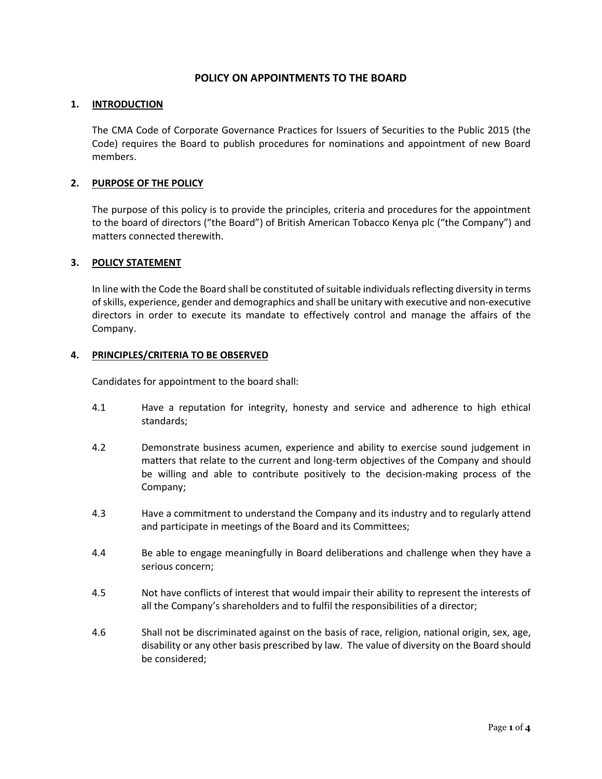# **POLICY ON APPOINTMENTS TO THE BOARD**

### **1. INTRODUCTION**

The CMA Code of Corporate Governance Practices for Issuers of Securities to the Public 2015 (the Code) requires the Board to publish procedures for nominations and appointment of new Board members.

## **2. PURPOSE OF THE POLICY**

The purpose of this policy is to provide the principles, criteria and procedures for the appointment to the board of directors ("the Board") of British American Tobacco Kenya plc ("the Company") and matters connected therewith.

### **3. POLICY STATEMENT**

In line with the Code the Board shall be constituted of suitable individuals reflecting diversity in terms of skills, experience, gender and demographics and shall be unitary with executive and non-executive directors in order to execute its mandate to effectively control and manage the affairs of the Company.

### **4. PRINCIPLES/CRITERIA TO BE OBSERVED**

Candidates for appointment to the board shall:

- 4.1 Have a reputation for integrity, honesty and service and adherence to high ethical standards;
- 4.2 Demonstrate business acumen, experience and ability to exercise sound judgement in matters that relate to the current and long-term objectives of the Company and should be willing and able to contribute positively to the decision-making process of the Company;
- 4.3 Have a commitment to understand the Company and its industry and to regularly attend and participate in meetings of the Board and its Committees;
- 4.4 Be able to engage meaningfully in Board deliberations and challenge when they have a serious concern;
- 4.5 Not have conflicts of interest that would impair their ability to represent the interests of all the Company's shareholders and to fulfil the responsibilities of a director;
- 4.6 Shall not be discriminated against on the basis of race, religion, national origin, sex, age, disability or any other basis prescribed by law. The value of diversity on the Board should be considered;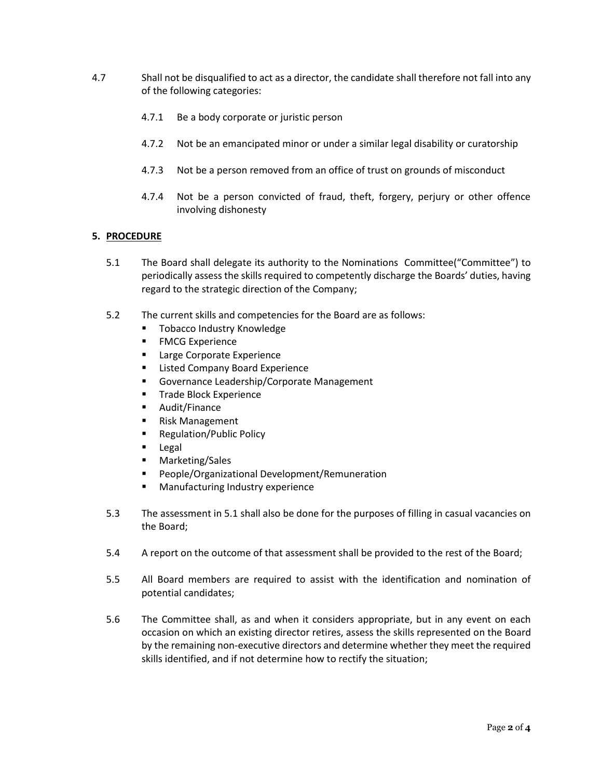- 4.7 Shall not be disqualified to act as a director, the candidate shall therefore not fall into any of the following categories:
	- 4.7.1 Be a body corporate or juristic person
	- 4.7.2 Not be an emancipated minor or under a similar legal disability or curatorship
	- 4.7.3 Not be a person removed from an office of trust on grounds of misconduct
	- 4.7.4 Not be a person convicted of fraud, theft, forgery, perjury or other offence involving dishonesty

#### **5. PROCEDURE**

- 5.1 The Board shall delegate its authority to the Nominations Committee("Committee") to periodically assess the skills required to competently discharge the Boards' duties, having regard to the strategic direction of the Company;
- 5.2 The current skills and competencies for the Board are as follows:
	- Tobacco Industry Knowledge
	- FMCG Experience
	- Large Corporate Experience
	- Listed Company Board Experience
	- Governance Leadership/Corporate Management
	- **■** Trade Block Experience
	- Audit/Finance
	- Risk Management
	- Regulation/Public Policy
	- Legal
	- Marketing/Sales
	- People/Organizational Development/Remuneration
	- Manufacturing Industry experience
- 5.3 The assessment in 5.1 shall also be done for the purposes of filling in casual vacancies on the Board;
- 5.4 A report on the outcome of that assessment shall be provided to the rest of the Board;
- 5.5 All Board members are required to assist with the identification and nomination of potential candidates;
- 5.6 The Committee shall, as and when it considers appropriate, but in any event on each occasion on which an existing director retires, assess the skills represented on the Board by the remaining non-executive directors and determine whether they meet the required skills identified, and if not determine how to rectify the situation;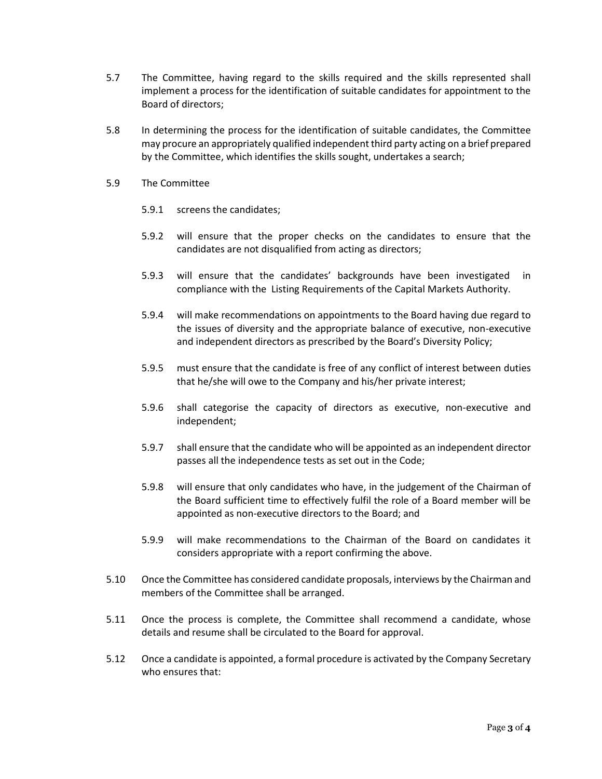- 5.7 The Committee, having regard to the skills required and the skills represented shall implement a process for the identification of suitable candidates for appointment to the Board of directors;
- 5.8 In determining the process for the identification of suitable candidates, the Committee may procure an appropriately qualified independent third party acting on a brief prepared by the Committee, which identifies the skills sought, undertakes a search;
- 5.9 The Committee
	- 5.9.1 screens the candidates;
	- 5.9.2 will ensure that the proper checks on the candidates to ensure that the candidates are not disqualified from acting as directors;
	- 5.9.3 will ensure that the candidates' backgrounds have been investigated in compliance with the Listing Requirements of the Capital Markets Authority.
	- 5.9.4 will make recommendations on appointments to the Board having due regard to the issues of diversity and the appropriate balance of executive, non-executive and independent directors as prescribed by the Board's Diversity Policy;
	- 5.9.5 must ensure that the candidate is free of any conflict of interest between duties that he/she will owe to the Company and his/her private interest;
	- 5.9.6 shall categorise the capacity of directors as executive, non-executive and independent;
	- 5.9.7 shall ensure that the candidate who will be appointed as an independent director passes all the independence tests as set out in the Code;
	- 5.9.8 will ensure that only candidates who have, in the judgement of the Chairman of the Board sufficient time to effectively fulfil the role of a Board member will be appointed as non-executive directors to the Board; and
	- 5.9.9 will make recommendations to the Chairman of the Board on candidates it considers appropriate with a report confirming the above.
- 5.10 Once the Committee has considered candidate proposals, interviews by the Chairman and members of the Committee shall be arranged.
- 5.11 Once the process is complete, the Committee shall recommend a candidate, whose details and resume shall be circulated to the Board for approval.
- 5.12 Once a candidate is appointed, a formal procedure is activated by the Company Secretary who ensures that: